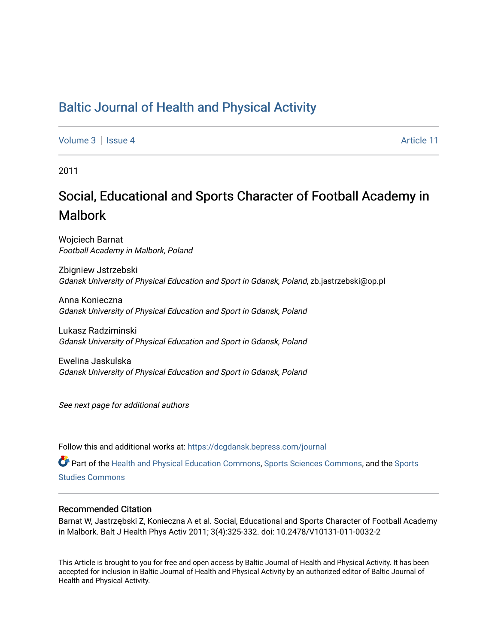## [Baltic Journal of Health and Physical Activity](https://dcgdansk.bepress.com/journal)

[Volume 3](https://dcgdansk.bepress.com/journal/vol3) | [Issue 4](https://dcgdansk.bepress.com/journal/vol3/iss4) Article 11

2011

# Social, Educational and Sports Character of Football Academy in **Malbork**

Wojciech Barnat Football Academy in Malbork, Poland

Zbigniew Jstrzebski Gdansk University of Physical Education and Sport in Gdansk, Poland, zb.jastrzebski@op.pl

Anna Konieczna Gdansk University of Physical Education and Sport in Gdansk, Poland

Lukasz Radziminski Gdansk University of Physical Education and Sport in Gdansk, Poland

Ewelina Jaskulska Gdansk University of Physical Education and Sport in Gdansk, Poland

See next page for additional authors

Follow this and additional works at: [https://dcgdansk.bepress.com/journal](https://dcgdansk.bepress.com/journal?utm_source=dcgdansk.bepress.com%2Fjournal%2Fvol3%2Fiss4%2F11&utm_medium=PDF&utm_campaign=PDFCoverPages)

Part of the [Health and Physical Education Commons](http://network.bepress.com/hgg/discipline/1327?utm_source=dcgdansk.bepress.com%2Fjournal%2Fvol3%2Fiss4%2F11&utm_medium=PDF&utm_campaign=PDFCoverPages), [Sports Sciences Commons](http://network.bepress.com/hgg/discipline/759?utm_source=dcgdansk.bepress.com%2Fjournal%2Fvol3%2Fiss4%2F11&utm_medium=PDF&utm_campaign=PDFCoverPages), and the [Sports](http://network.bepress.com/hgg/discipline/1198?utm_source=dcgdansk.bepress.com%2Fjournal%2Fvol3%2Fiss4%2F11&utm_medium=PDF&utm_campaign=PDFCoverPages)  [Studies Commons](http://network.bepress.com/hgg/discipline/1198?utm_source=dcgdansk.bepress.com%2Fjournal%2Fvol3%2Fiss4%2F11&utm_medium=PDF&utm_campaign=PDFCoverPages) 

#### Recommended Citation

Barnat W, Jastrzębski Z, Konieczna A et al. Social, Educational and Sports Character of Football Academy in Malbork. Balt J Health Phys Activ 2011; 3(4):325-332. doi: 10.2478/V10131-011-0032-2

This Article is brought to you for free and open access by Baltic Journal of Health and Physical Activity. It has been accepted for inclusion in Baltic Journal of Health and Physical Activity by an authorized editor of Baltic Journal of Health and Physical Activity.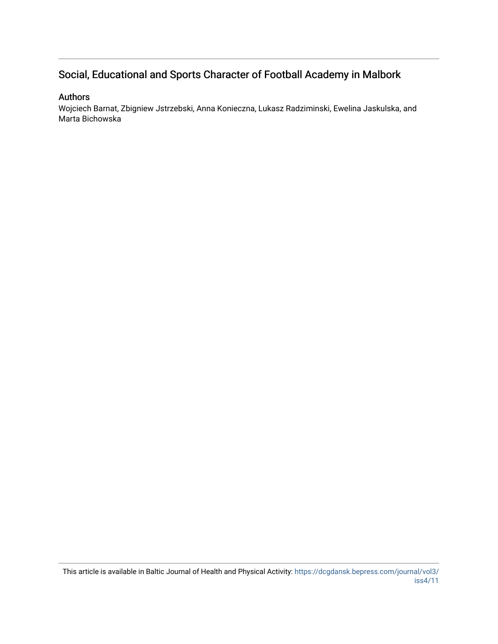## Social, Educational and Sports Character of Football Academy in Malbork

## Authors

Wojciech Barnat, Zbigniew Jstrzebski, Anna Konieczna, Lukasz Radziminski, Ewelina Jaskulska, and Marta Bichowska

This article is available in Baltic Journal of Health and Physical Activity: [https://dcgdansk.bepress.com/journal/vol3/](https://dcgdansk.bepress.com/journal/vol3/iss4/11) [iss4/11](https://dcgdansk.bepress.com/journal/vol3/iss4/11)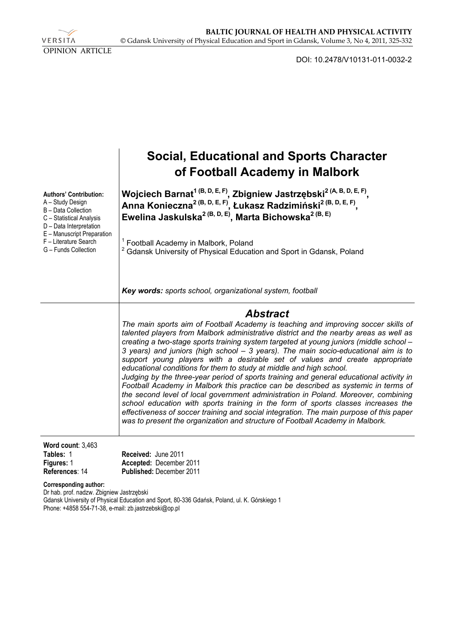VERSITA OPINION ARTICLE

DOI: 10.2478/V10131-011-0032-2

|                                                                                                                                                                                                                | Social, Educational and Sports Character<br>of Football Academy in Malbork                                                                                                                                                                                                                                                                                                                                                                                                                                                                                                                                                                                                                                                                                                                                                                                                                                                                                                                                                                                                   |  |  |  |  |  |
|----------------------------------------------------------------------------------------------------------------------------------------------------------------------------------------------------------------|------------------------------------------------------------------------------------------------------------------------------------------------------------------------------------------------------------------------------------------------------------------------------------------------------------------------------------------------------------------------------------------------------------------------------------------------------------------------------------------------------------------------------------------------------------------------------------------------------------------------------------------------------------------------------------------------------------------------------------------------------------------------------------------------------------------------------------------------------------------------------------------------------------------------------------------------------------------------------------------------------------------------------------------------------------------------------|--|--|--|--|--|
| <b>Authors' Contribution:</b><br>A - Study Design<br>B - Data Collection<br>C - Statistical Analysis<br>D - Data Interpretation<br>E - Manuscript Preparation<br>F - Literature Search<br>G - Funds Collection | Wojciech Barnat <sup>1 (B, D, E, F)</sup> , Zbigniew Jastrzębski <sup>2 (A, B, D, E, F)</sup> ,<br>Anna Konieczna <sup>2 (B, D, E, F)</sup> , Łukasz Radzimiński <sup>2 (B, D, E, F)</sup> ,<br>Ewelina Jaskulska <sup>2 (B, D, E)</sup> , Marta Bichowska <sup>2 (B, E)</sup><br>Football Academy in Malbork, Poland<br>Gdansk University of Physical Education and Sport in Gdansk, Poland                                                                                                                                                                                                                                                                                                                                                                                                                                                                                                                                                                                                                                                                                 |  |  |  |  |  |
|                                                                                                                                                                                                                | Key words: sports school, organizational system, football                                                                                                                                                                                                                                                                                                                                                                                                                                                                                                                                                                                                                                                                                                                                                                                                                                                                                                                                                                                                                    |  |  |  |  |  |
|                                                                                                                                                                                                                | <b>Abstract</b><br>The main sports aim of Football Academy is teaching and improving soccer skills of<br>talented players from Malbork administrative district and the nearby areas as well as<br>creating a two-stage sports training system targeted at young juniors (middle school -<br>3 years) and juniors (high school - 3 years). The main socio-educational aim is to<br>support young players with a desirable set of values and create appropriate<br>educational conditions for them to study at middle and high school.<br>Judging by the three-year period of sports training and general educational activity in<br>Football Academy in Malbork this practice can be described as systemic in terms of<br>the second level of local government administration in Poland. Moreover, combining<br>school education with sports training in the form of sports classes increases the<br>effectiveness of soccer training and social integration. The main purpose of this paper<br>was to present the organization and structure of Football Academy in Malbork. |  |  |  |  |  |
| Word count: 3,463<br>Tables: 1<br>Figures: 1<br>References: 14                                                                                                                                                 | Received: June 2011<br>Accepted: December 2011<br>Published: December 2011                                                                                                                                                                                                                                                                                                                                                                                                                                                                                                                                                                                                                                                                                                                                                                                                                                                                                                                                                                                                   |  |  |  |  |  |

**Corresponding author:** 

Dr hab. prof. nadzw. Zbigniew Jastrzębski Gdansk University of Physical Education and Sport, 80-336 Gdańsk, Poland, ul. K. Górskiego 1 Phone: +4858 554-71-38, e-mail: zb.jastrzebski@op.pl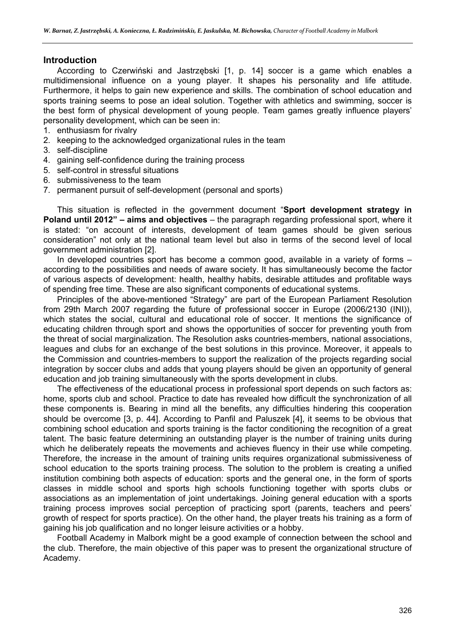#### **Introduction**

According to Czerwiński and Jastrzębski [1, p. 14] soccer is a game which enables a multidimensional influence on a young player. It shapes his personality and life attitude. Furthermore, it helps to gain new experience and skills. The combination of school education and sports training seems to pose an ideal solution. Together with athletics and swimming, soccer is the best form of physical development of young people. Team games greatly influence players' personality development, which can be seen in:

- 1. enthusiasm for rivalry
- 2. keeping to the acknowledged organizational rules in the team
- 3. self-discipline
- 4. gaining self-confidence during the training process
- 5. self-control in stressful situations
- 6. submissiveness to the team
- 7. permanent pursuit of self-development (personal and sports)

This situation is reflected in the government document "**Sport development strategy in Poland until 2012" – aims and objectives** – the paragraph regarding professional sport, where it is stated: "on account of interests, development of team games should be given serious consideration" not only at the national team level but also in terms of the second level of local government administration [2].

In developed countries sport has become a common good, available in a variety of forms – according to the possibilities and needs of aware society. It has simultaneously become the factor of various aspects of development: health, healthy habits, desirable attitudes and profitable ways of spending free time. These are also significant components of educational systems.

Principles of the above-mentioned "Strategy" are part of the European Parliament Resolution from 29th March 2007 regarding the future of professional soccer in Europe (2006/2130 (INI)), which states the social, cultural and educational role of soccer. It mentions the significance of educating children through sport and shows the opportunities of soccer for preventing youth from the threat of social marginalization. The Resolution asks countries-members, national associations, leagues and clubs for an exchange of the best solutions in this province. Moreover, it appeals to the Commission and countries-members to support the realization of the projects regarding social integration by soccer clubs and adds that young players should be given an opportunity of general education and job training simultaneously with the sports development in clubs.

The effectiveness of the educational process in professional sport depends on such factors as: home, sports club and school. Practice to date has revealed how difficult the synchronization of all these components is. Bearing in mind all the benefits, any difficulties hindering this cooperation should be overcome [3, p. 44]. According to Panfil and Paluszek [4], it seems to be obvious that combining school education and sports training is the factor conditioning the recognition of a great talent. The basic feature determining an outstanding player is the number of training units during which he deliberately repeats the movements and achieves fluency in their use while competing. Therefore, the increase in the amount of training units requires organizational submissiveness of school education to the sports training process. The solution to the problem is creating a unified institution combining both aspects of education: sports and the general one, in the form of sports classes in middle school and sports high schools functioning together with sports clubs or associations as an implementation of joint undertakings. Joining general education with a sports training process improves social perception of practicing sport (parents, teachers and peers' growth of respect for sports practice). On the other hand, the player treats his training as a form of gaining his job qualification and no longer leisure activities or a hobby.

Football Academy in Malbork might be a good example of connection between the school and the club. Therefore, the main objective of this paper was to present the organizational structure of Academy.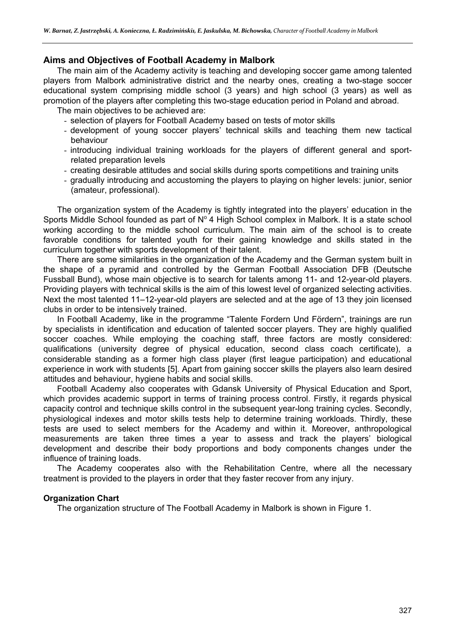#### **Aims and Objectives of Football Academy in Malbork**

The main aim of the Academy activity is teaching and developing soccer game among talented players from Malbork administrative district and the nearby ones, creating a two-stage soccer educational system comprising middle school (3 years) and high school (3 years) as well as promotion of the players after completing this two-stage education period in Poland and abroad.

The main objectives to be achieved are:

- selection of players for Football Academy based on tests of motor skills
- development of young soccer players' technical skills and teaching them new tactical behaviour
- introducing individual training workloads for the players of different general and sportrelated preparation levels
- creating desirable attitudes and social skills during sports competitions and training units
- gradually introducing and accustoming the players to playing on higher levels: junior, senior (amateur, professional).

The organization system of the Academy is tightly integrated into the players' education in the Sports Middle School founded as part of  $N^{\circ}$  4 High School complex in Malbork. It is a state school working according to the middle school curriculum. The main aim of the school is to create favorable conditions for talented youth for their gaining knowledge and skills stated in the curriculum together with sports development of their talent.

There are some similarities in the organization of the Academy and the German system built in the shape of a pyramid and controlled by the German Football Association DFB (Deutsche Fussball Bund), whose main objective is to search for talents among 11- and 12-year-old players. Providing players with technical skills is the aim of this lowest level of organized selecting activities. Next the most talented 11–12-year-old players are selected and at the age of 13 they join licensed clubs in order to be intensively trained.

In Football Academy, like in the programme "Talente Fordern Und Fördern", trainings are run by specialists in identification and education of talented soccer players. They are highly qualified soccer coaches. While employing the coaching staff, three factors are mostly considered: qualifications (university degree of physical education, second class coach certificate), a considerable standing as a former high class player (first league participation) and educational experience in work with students [5]. Apart from gaining soccer skills the players also learn desired attitudes and behaviour, hygiene habits and social skills.

Football Academy also cooperates with Gdansk University of Physical Education and Sport, which provides academic support in terms of training process control. Firstly, it regards physical capacity control and technique skills control in the subsequent year-long training cycles. Secondly, physiological indexes and motor skills tests help to determine training workloads. Thirdly, these tests are used to select members for the Academy and within it. Moreover, anthropological measurements are taken three times a year to assess and track the players' biological development and describe their body proportions and body components changes under the influence of training loads.

The Academy cooperates also with the Rehabilitation Centre, where all the necessary treatment is provided to the players in order that they faster recover from any injury.

#### **Organization Chart**

The organization structure of The Football Academy in Malbork is shown in Figure 1.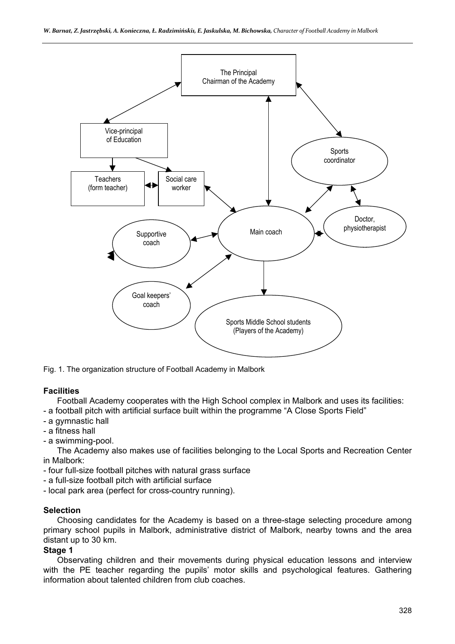

Fig. 1. The organization structure of Football Academy in Malbork

## **Facilities**

Football Academy cooperates with the High School complex in Malbork and uses its facilities:

- a football pitch with artificial surface built within the programme "A Close Sports Field"
- a gymnastic hall
- a fitness hall
- a swimming-pool.

The Academy also makes use of facilities belonging to the Local Sports and Recreation Center in Malbork:

- four full-size football pitches with natural grass surface

- a full-size football pitch with artificial surface
- local park area (perfect for cross-country running).

## **Selection**

Choosing candidates for the Academy is based on a three-stage selecting procedure among primary school pupils in Malbork, administrative district of Malbork, nearby towns and the area distant up to 30 km.

## **Stage 1**

Observating children and their movements during physical education lessons and interview with the PE teacher regarding the pupils' motor skills and psychological features. Gathering information about talented children from club coaches.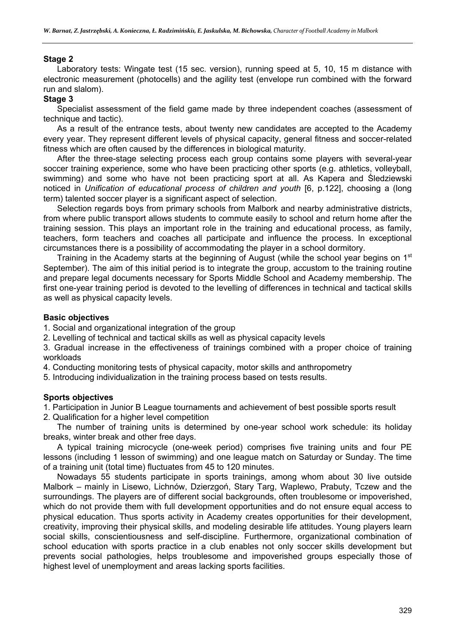#### **Stage 2**

Laboratory tests: Wingate test (15 sec. version), running speed at 5, 10, 15 m distance with electronic measurement (photocells) and the agility test (envelope run combined with the forward run and slalom).

#### **Stage 3**

Specialist assessment of the field game made by three independent coaches (assessment of technique and tactic).

As a result of the entrance tests, about twenty new candidates are accepted to the Academy every year. They represent different levels of physical capacity, general fitness and soccer-related fitness which are often caused by the differences in biological maturity.

After the three-stage selecting process each group contains some players with several-year soccer training experience, some who have been practicing other sports (e.g. athletics, volleyball, swimming) and some who have not been practicing sport at all. As Kapera and Śledziewski noticed in *Unification of educational process of children and youth* [6, p.122], choosing a (long term) talented soccer player is a significant aspect of selection.

Selection regards boys from primary schools from Malbork and nearby administrative districts, from where public transport allows students to commute easily to school and return home after the training session. This plays an important role in the training and educational process, as family, teachers, form teachers and coaches all participate and influence the process. In exceptional circumstances there is a possibility of accommodating the player in a school dormitory.

Training in the Academy starts at the beginning of August (while the school year begins on  $1<sup>st</sup>$ September). The aim of this initial period is to integrate the group, accustom to the training routine and prepare legal documents necessary for Sports Middle School and Academy membership. The first one-year training period is devoted to the levelling of differences in technical and tactical skills as well as physical capacity levels.

#### **Basic objectives**

1. Social and organizational integration of the group

2. Levelling of technical and tactical skills as well as physical capacity levels

3. Gradual increase in the effectiveness of trainings combined with a proper choice of training workloads

4. Conducting monitoring tests of physical capacity, motor skills and anthropometry

5. Introducing individualization in the training process based on tests results.

#### **Sports objectives**

1. Participation in Junior B League tournaments and achievement of best possible sports result

2. Qualification for a higher level competition

The number of training units is determined by one-year school work schedule: its holiday breaks, winter break and other free days.

A typical training microcycle (one-week period) comprises five training units and four PE lessons (including 1 lesson of swimming) and one league match on Saturday or Sunday. The time of a training unit (total time) fluctuates from 45 to 120 minutes.

Nowadays 55 students participate in sports trainings, among whom about 30 live outside Malbork – mainly in Lisewo, Lichnów, Dzierzgoń, Stary Targ, Waplewo, Prabuty, Tczew and the surroundings. The players are of different social backgrounds, often troublesome or impoverished, which do not provide them with full development opportunities and do not ensure equal access to physical education. Thus sports activity in Academy creates opportunities for their development, creativity, improving their physical skills, and modeling desirable life attitudes. Young players learn social skills, conscientiousness and self-discipline. Furthermore, organizational combination of school education with sports practice in a club enables not only soccer skills development but prevents social pathologies, helps troublesome and impoverished groups especially those of highest level of unemployment and areas lacking sports facilities.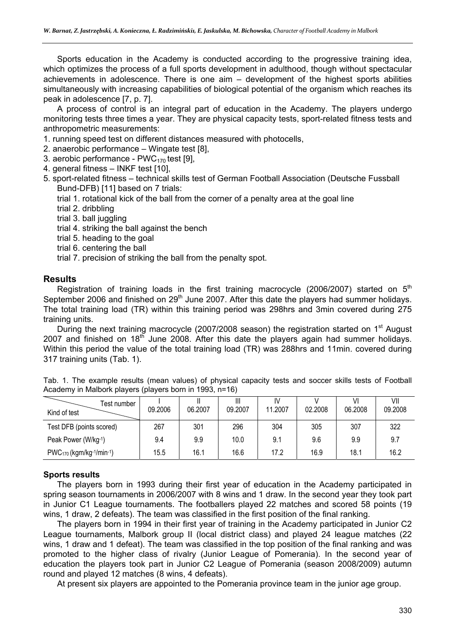Sports education in the Academy is conducted according to the progressive training idea, which optimizes the process of a full sports development in adulthood, though without spectacular achievements in adolescence. There is one aim – development of the highest sports abilities simultaneously with increasing capabilities of biological potential of the organism which reaches its peak in adolescence [7, p. 7].

A process of control is an integral part of education in the Academy. The players undergo monitoring tests three times a year. They are physical capacity tests, sport-related fitness tests and anthropometric measurements:

- 1. running speed test on different distances measured with photocells,
- 2. anaerobic performance Wingate test [8],
- 3. aerobic performance  $PWC_{170}$  test [9],
- 4. general fitness INKF test [10],
- 5. sport-related fitness technical skills test of German Football Association (Deutsche Fussball Bund-DFB) [11] based on 7 trials:
	- trial 1. rotational kick of the ball from the corner of a penalty area at the goal line
	- trial 2. dribbling
	- trial 3. ball juggling
	- trial 4. striking the ball against the bench
	- trial 5. heading to the goal
	- trial 6. centering the ball
	- trial 7. precision of striking the ball from the penalty spot.

#### **Results**

Registration of training loads in the first training macrocycle (2006/2007) started on 5<sup>th</sup> September 2006 and finished on 29<sup>th</sup> June 2007. After this date the players had summer holidays. The total training load (TR) within this training period was 298hrs and 3min covered during 275 training units.

During the next training macrocycle (2007/2008 season) the registration started on 1<sup>st</sup> August 2007 and finished on  $18<sup>th</sup>$  June 2008. After this date the players again had summer holidays. Within this period the value of the total training load (TR) was 288hrs and 11min. covered during 317 training units (Tab. 1).

| Test number<br>Kind of test  | 09.2006 | 06.2007 | 09.2007 | IV<br>11.2007 | 02.2008 | 06.2008 | VII<br>09.2008 |
|------------------------------|---------|---------|---------|---------------|---------|---------|----------------|
| Test DFB (points scored)     | 267     | 301     | 296     | 304           | 305     | 307     | 322            |
| Peak Power (W/kg-1)          | 9.4     | 9.9     | 10.0    | 9.1           | 9.6     | 9.9     | 9.7            |
| $PWC_{170}$ (kgm/kg-1/min-1) | 15.5    | 16.1    | 16.6    | 17.2          | 16.9    | 18.1    | 16.2           |

Tab. 1. The example results (mean values) of physical capacity tests and soccer skills tests of Football Academy in Malbork players (players born in 1993, n=16)

#### **Sports results**

The players born in 1993 during their first year of education in the Academy participated in spring season tournaments in 2006/2007 with 8 wins and 1 draw. In the second year they took part in Junior C1 League tournaments. The footballers played 22 matches and scored 58 points (19 wins, 1 draw, 2 defeats). The team was classified in the first position of the final ranking.

The players born in 1994 in their first year of training in the Academy participated in Junior C2 League tournaments, Malbork group II (local district class) and played 24 league matches (22 wins, 1 draw and 1 defeat). The team was classified in the top position of the final ranking and was promoted to the higher class of rivalry (Junior League of Pomerania). In the second year of education the players took part in Junior C2 League of Pomerania (season 2008/2009) autumn round and played 12 matches (8 wins, 4 defeats).

At present six players are appointed to the Pomerania province team in the junior age group.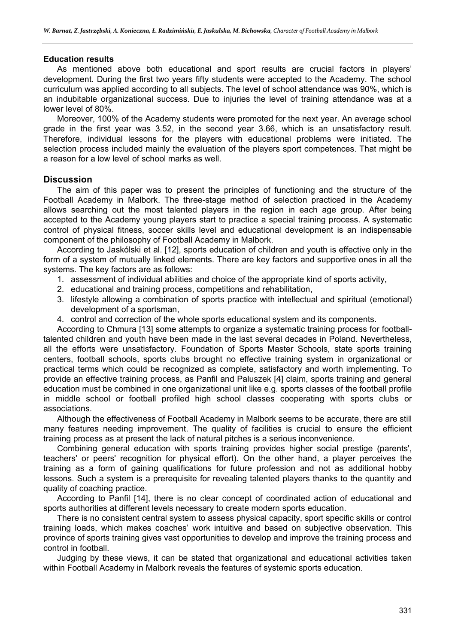#### **Education results**

As mentioned above both educational and sport results are crucial factors in players' development. During the first two years fifty students were accepted to the Academy. The school curriculum was applied according to all subjects. The level of school attendance was 90%, which is an indubitable organizational success. Due to injuries the level of training attendance was at a lower level of 80%.

Moreover, 100% of the Academy students were promoted for the next year. An average school grade in the first year was 3.52, in the second year 3.66, which is an unsatisfactory result. Therefore, individual lessons for the players with educational problems were initiated. The selection process included mainly the evaluation of the players sport competences. That might be a reason for a low level of school marks as well.

#### **Discussion**

The aim of this paper was to present the principles of functioning and the structure of the Football Academy in Malbork. The three-stage method of selection practiced in the Academy allows searching out the most talented players in the region in each age group. After being accepted to the Academy young players start to practice a special training process. A systematic control of physical fitness, soccer skills level and educational development is an indispensable component of the philosophy of Football Academy in Malbork.

According to Jaskólski et al. [12], sports education of children and youth is effective only in the form of a system of mutually linked elements. There are key factors and supportive ones in all the systems. The key factors are as follows:

- 1. assessment of individual abilities and choice of the appropriate kind of sports activity,
- 2. educational and training process, competitions and rehabilitation,
- 3. lifestyle allowing a combination of sports practice with intellectual and spiritual (emotional) development of a sportsman,
- 4. control and correction of the whole sports educational system and its components.

According to Chmura [13] some attempts to organize a systematic training process for footballtalented children and youth have been made in the last several decades in Poland. Nevertheless, all the efforts were unsatisfactory. Foundation of Sports Master Schools, state sports training centers, football schools, sports clubs brought no effective training system in organizational or practical terms which could be recognized as complete, satisfactory and worth implementing. To provide an effective training process, as Panfil and Paluszek [4] claim, sports training and general education must be combined in one organizational unit like e.g. sports classes of the football profile in middle school or football profiled high school classes cooperating with sports clubs or associations.

Although the effectiveness of Football Academy in Malbork seems to be accurate, there are still many features needing improvement. The quality of facilities is crucial to ensure the efficient training process as at present the lack of natural pitches is a serious inconvenience.

Combining general education with sports training provides higher social prestige (parents', teachers' or peers' recognition for physical effort). On the other hand, a player perceives the training as a form of gaining qualifications for future profession and not as additional hobby lessons. Such a system is a prerequisite for revealing talented players thanks to the quantity and quality of coaching practice.

According to Panfil [14], there is no clear concept of coordinated action of educational and sports authorities at different levels necessary to create modern sports education.

There is no consistent central system to assess physical capacity, sport specific skills or control training loads, which makes coaches' work intuitive and based on subjective observation. This province of sports training gives vast opportunities to develop and improve the training process and control in football.

Judging by these views, it can be stated that organizational and educational activities taken within Football Academy in Malbork reveals the features of systemic sports education.